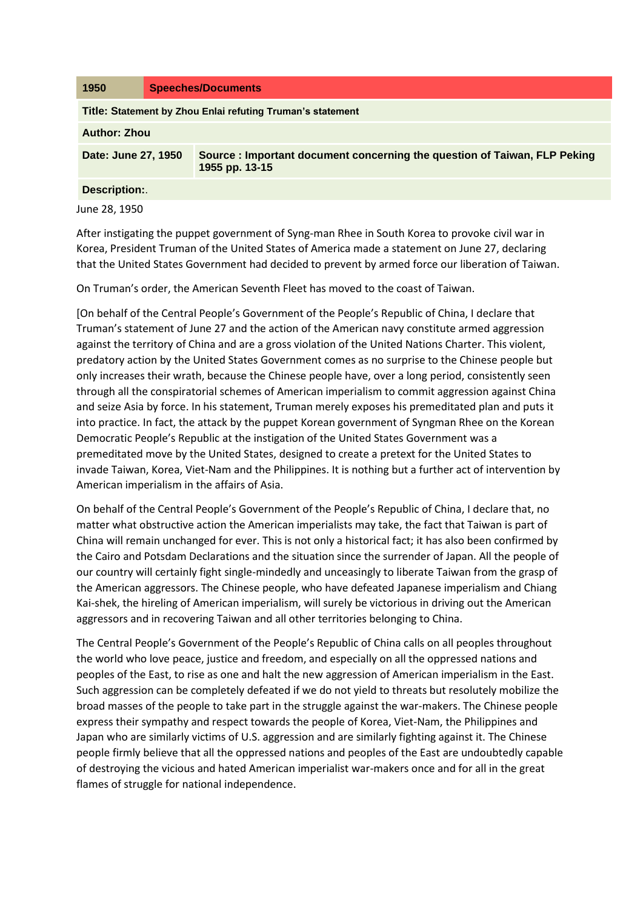| 1950                                                       | <b>Speeches/Documents</b> |                                                                                            |  |  |
|------------------------------------------------------------|---------------------------|--------------------------------------------------------------------------------------------|--|--|
| Title: Statement by Zhou Enlai refuting Truman's statement |                           |                                                                                            |  |  |
| <b>Author: Zhou</b>                                        |                           |                                                                                            |  |  |
| Date: June 27, 1950                                        |                           | Source: Important document concerning the question of Taiwan, FLP Peking<br>1955 pp. 13-15 |  |  |
| <b>Description:.</b>                                       |                           |                                                                                            |  |  |

June 28, 1950

After instigating the puppet government of Syng-man Rhee in South Korea to provoke civil war in Korea, President Truman of the United States of America made a statement on June 27, declaring that the United States Government had decided to prevent by armed force our liberation of Taiwan.

On Truman's order, the American Seventh Fleet has moved to the coast of Taiwan.

[On behalf of the Central People's Government of the People's Republic of China, I declare that Truman's statement of June 27 and the action of the American navy constitute armed aggression against the territory of China and are a gross violation of the United Nations Charter. This violent, predatory action by the United States Government comes as no surprise to the Chinese people but only increases their wrath, because the Chinese people have, over a long period, consistently seen through all the conspiratorial schemes of American imperialism to commit aggression against China and seize Asia by force. In his statement, Truman merely exposes his premeditated plan and puts it into practice. In fact, the attack by the puppet Korean government of Syngman Rhee on the Korean Democratic People's Republic at the instigation of the United States Government was a premeditated move by the United States, designed to create a pretext for the United States to invade Taiwan, Korea, Viet-Nam and the Philippines. It is nothing but a further act of intervention by American imperialism in the affairs of Asia.

On behalf of the Central People's Government of the People's Republic of China, I declare that, no matter what obstructive action the American imperialists may take, the fact that Taiwan is part of China will remain unchanged for ever. This is not only a historical fact; it has also been confirmed by the Cairo and Potsdam Declarations and the situation since the surrender of Japan. All the people of our country will certainly fight single-mindedly and unceasingly to liberate Taiwan from the grasp of the American aggressors. The Chinese people, who have defeated Japanese imperialism and Chiang Kai-shek, the hireling of American imperialism, will surely be victorious in driving out the American aggressors and in recovering Taiwan and all other territories belonging to China.

The Central People's Government of the People's Republic of China calls on all peoples throughout the world who love peace, justice and freedom, and especially on all the oppressed nations and peoples of the East, to rise as one and halt the new aggression of American imperialism in the East. Such aggression can be completely defeated if we do not yield to threats but resolutely mobilize the broad masses of the people to take part in the struggle against the war-makers. The Chinese people express their sympathy and respect towards the people of Korea, Viet-Nam, the Philippines and Japan who are similarly victims of U.S. aggression and are similarly fighting against it. The Chinese people firmly believe that all the oppressed nations and peoples of the East are undoubtedly capable of destroying the vicious and hated American imperialist war-makers once and for all in the great flames of struggle for national independence.